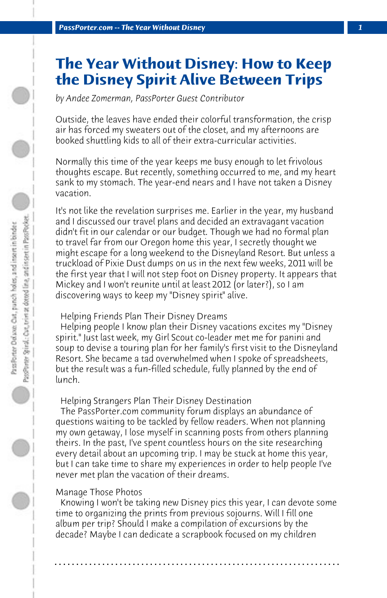# **The Year Without Disney: How to Keep the Disney Spirit Alive Between Trips**

*by Andee Zomerman, PassPorter Guest Contributor*

Outside, the leaves have ended their colorful transformation, the crisp air has forced my sweaters out of the closet, and my afternoons are booked shuttling kids to all of their extra-curricular activities.

Normally this time of the year keeps me busy enough to let frivolous thoughts escape. But recently, something occurred to me, and my heart sank to my stomach. The year-end nears and I have not taken a Disney vacation.

It's not like the revelation surprises me. Earlier in the year, my husband and I discussed our travel plans and decided an extravagant vacation didn't fit in our calendar or our budget. Though we had no formal plan to travel far from our Oregon home this year, I secretly thought we might escape for a long weekend to the Disneyland Resort. But unless a truckload of Pixie Dust dumps on us in the next few weeks, 2011 will be the first year that I will not step foot on Disney property. It appears that Mickey and I won't reunite until at least 2012 (or later?), so I am discovering ways to keep my "Disney spirit" alive.

## Helping Friends Plan Their Disney Dreams

 Helping people I know plan their Disney vacations excites my "Disney spirit." Just last week, my Girl Scout co-leader met me for panini and soup to devise a touring plan for her family's first visit to the Disneyland Resort. She became a tad overwhelmed when I spoke of spreadsheets, but the result was a fun-filled schedule, fully planned by the end of lunch.

## Helping Strangers Plan Their Disney Destination

 The PassPorter.com community forum displays an abundance of questions waiting to be tackled by fellow readers. When not planning my own getaway, I lose myself in scanning posts from others planning theirs. In the past, I've spent countless hours on the site researching every detail about an upcoming trip. I may be stuck at home this year, but I can take time to share my experiences in order to help people I've never met plan the vacation of their dreams.

#### Manage Those Photos

 Knowing I won't be taking new Disney pics this year, I can devote some time to organizing the prints from previous sojourns. Will I fill one album per trip? Should I make a compilation of excursions by the decade? Maybe I can dedicate a scrapbook focused on my children

**. . . . . . . . . . . . . . . . . . . . . . . . . . . . . . . . . . . . . . . . . . . . . . . . . . . . . . . . . . . . . . . . . .**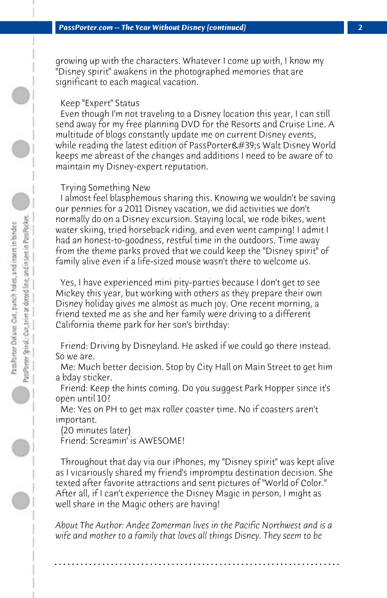growing up with the characters. Whatever I come up with, I know my "Disney spirit" awakens in the photographed memories that are significant to each magical vacation.

#### Keep "Expert" Status

 Even though I'm not traveling to a Disney location this year, I can still send away for my free planning DVD for the Resorts and Cruise Line. A multitude of blogs constantly update me on current Disney events, while reading the latest edition of PassPorter's Walt Disney World keeps me abreast of the changes and additions I need to be aware of to maintain my Disney-expert reputation.

#### Trying Something New

 I almost feel blasphemous sharing this. Knowing we wouldn't be saving our pennies for a 2011 Disney vacation, we did activities we don't normally do on a Disney excursion. Staying local, we rode bikes, went water skiing, tried horseback riding, and even went camping! I admit I had an honest-to-goodness, restful time in the outdoors. Time away from the theme parks proved that we could keep the "Disney spirit" of family alive even if a life-sized mouse wasn't there to welcome us.

 Yes, I have experienced mini pity-parties because I don't get to see Mickey this year, but working with others as they prepare their own Disney holiday gives me almost as much joy. One recent morning, a friend texted me as she and her family were driving to a different California theme park for her son's birthday:

 Friend: Driving by Disneyland. He asked if we could go there instead. So we are.

 Me: Much better decision. Stop by City Hall on Main Street to get him a bday sticker.

 Friend: Keep the hints coming. Do you suggest Park Hopper since it's open until 10?

 Me: Yes on PH to get max roller coaster time. No if coasters aren't important.

 (20 minutes later)

 Friend: Screamin' is AWESOME!

 Throughout that day via our iPhones, my "Disney spirit" was kept alive as I vicariously shared my friend's impromptu destination decision. She texted after favorite attractions and sent pictures of "World of Color." After all, if I can't experience the Disney Magic in person, I might as well share in the Magic others are having!

*About The Author: Andee Zomerman lives in the Pacific Northwest and is a wife and mother to a family that loves all things Disney. They seem to be*

**. . . . . . . . . . . . . . . . . . . . . . . . . . . . . . . . . . . . . . . . . . . . . . . . . . . . . . . . . . . . . . . . . .**